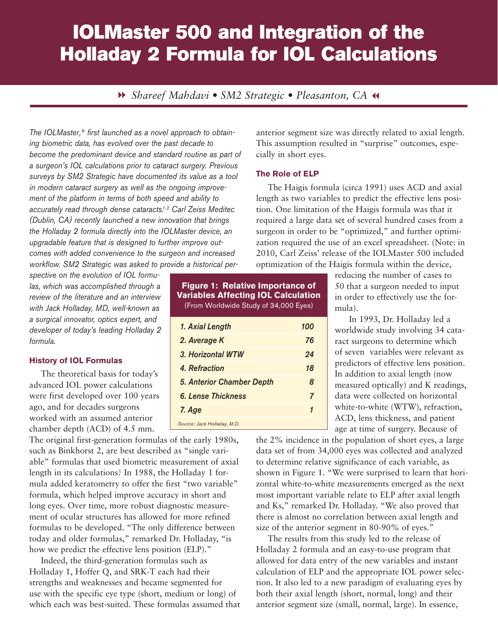# IOLMaster 500 and Integration of the Holladay 2 Formula for IOL Calculations

8 *Shareef Mahdavi • SM2 Strategic • Pleasanton, CA* 7

*The IOLMaster,® first launched as a novel approach to obtaining biometric data, has evolved over the past decade to become the predominant device and standard routine as part of a surgeon's IOL calculations prior to cataract surgery. Previous surveys by SM2 Strategic have documented its value as a tool in modern cataract surgery as well as the ongoing improvement of the platform in terms of both speed and ability to accurately read through dense cataracts.1, 2 Carl Zeiss Meditec (Dublin, CA) recently launched a new innovation that brings the Holladay 2 formula directly into the IOLMaster device, an upgradable feature that is designed to further improve outcomes with added convenience to the surgeon and increased workflow. SM2 Strategic was asked to provide a historical per-*

*spective on the evolution of IOL formulas, which was accomplished through a review of the literature and an interview with Jack Holladay, MD, well-known as a surgical innovator, optics expert, and developer of today's leading Holladay 2 formula.* 

#### **History of IOL Formulas**

The theoretical basis for today's advanced IOL power calculations were first developed over 100 years ago, and for decades surgeons worked with an assumed anterior chamber depth (ACD) of 4.5 mm.

The original first-generation formulas of the early 1980s, such as Binkhorst 2, are best described as "single variable" formulas that used biometric measurement of axial length in its calculations? In 1988, the Holladay 1 formula added keratometry to offer the first "two variable" formula, which helped improve accuracy in short and long eyes. Over time, more robust diagnostic measurement of ocular structures has allowed for more refined formulas to be developed. "The only difference between today and older formulas," remarked Dr. Holladay, "is how we predict the effective lens position (ELP)."

Indeed, the third-generation formulas such as Holladay 1, Hoffer Q, and SRK-T each had their strengths and weaknesses and became segmented for use with the specific eye type (short, medium or long) of which each was best-suited. These formulas assumed that

| <b>Figure 1: Relative Importance of</b><br><b>Variables Affecting IOL Calculation</b><br>(From Worldwide Study of 34,000 Eyes) |     |  |  |  |
|--------------------------------------------------------------------------------------------------------------------------------|-----|--|--|--|
| 1. Axial Length                                                                                                                | 100 |  |  |  |
| 2. Average K                                                                                                                   | 76  |  |  |  |
| 3. Horizontal WTW                                                                                                              | 24  |  |  |  |
| 4. Refraction                                                                                                                  | 18  |  |  |  |
| <b>5. Anterior Chamber Depth</b>                                                                                               | 8   |  |  |  |
| <b>6. Lense Thickness</b>                                                                                                      | 7   |  |  |  |
| 7. Age                                                                                                                         | 1   |  |  |  |
| Source: Jack Holladay, M.D.                                                                                                    |     |  |  |  |

anterior segment size was directly related to axial length. This assumption resulted in "surprise" outcomes, especially in short eyes.

### **The Role of ELP**

The Haigis formula (circa 1991) uses ACD and axial length as two variables to predict the effective lens position. One limitation of the Haigis formula was that it required a large data set of several hundred cases from a surgeon in order to be "optimized," and further optimization required the use of an excel spreadsheet. (Note: in 2010, Carl Zeiss' release of the IOLMaster 500 included optimization of the Haigis formula within the device,

> reducing the number of cases to 50 that a surgeon needed to input in order to effectively use the formula).

 In 1993, Dr. Holladay led a worldwide study involving 34 cataract surgeons to determine which of seven variables were relevant as predictors of effective lens position. In addition to axial length (now measured optically) and K readings, data were collected on horizontal white-to-white (WTW), refraction, ACD, lens thickness, and patient age at time of surgery. Because of

the 2% incidence in the population of short eyes, a large data set of from 34,000 eyes was collected and analyzed to determine relative significance of each variable, as shown in Figure 1. "We were surprised to learn that horizontal white-to-white measurements emerged as the next most important variable relate to ELP after axial length and Ks," remarked Dr. Holladay. "We also proved that there is almost no correlation between axial length and size of the anterior segment in 80-90% of eyes."

The results from this study led to the release of Holladay 2 formula and an easy-to-use program that allowed for data entry of the new variables and instant calculation of ELP and the appropriate IOL power selection. It also led to a new paradigm of evaluating eyes by both their axial length (short, normal, long) and their anterior segment size (small, normal, large). In essence,